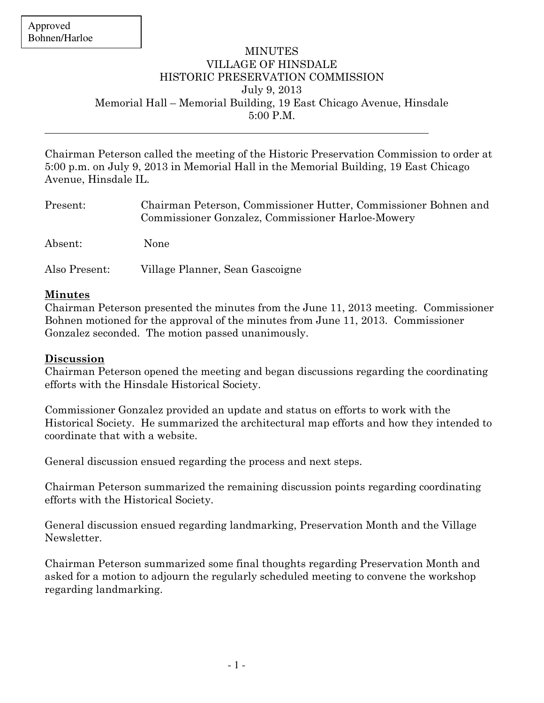$\overline{a}$ 

## MINUTES VILLAGE OF HINSDALE HISTORIC PRESERVATION COMMISSION July 9, 2013 Memorial Hall – Memorial Building, 19 East Chicago Avenue, Hinsdale 5:00 P.M.

Chairman Peterson called the meeting of the Historic Preservation Commission to order at 5:00 p.m. on July 9, 2013 in Memorial Hall in the Memorial Building, 19 East Chicago Avenue, Hinsdale IL.

| Present:      | Chairman Peterson, Commissioner Hutter, Commissioner Bohnen and<br>Commissioner Gonzalez, Commissioner Harloe-Mowery |
|---------------|----------------------------------------------------------------------------------------------------------------------|
| Absent:       | None                                                                                                                 |
| Also Present: | Village Planner, Sean Gascoigne                                                                                      |

## Minutes

Chairman Peterson presented the minutes from the June 11, 2013 meeting. Commissioner Bohnen motioned for the approval of the minutes from June 11, 2013. Commissioner Gonzalez seconded. The motion passed unanimously.

## Discussion

Chairman Peterson opened the meeting and began discussions regarding the coordinating efforts with the Hinsdale Historical Society.

Commissioner Gonzalez provided an update and status on efforts to work with the Historical Society. He summarized the architectural map efforts and how they intended to coordinate that with a website.

General discussion ensued regarding the process and next steps.

Chairman Peterson summarized the remaining discussion points regarding coordinating efforts with the Historical Society.

General discussion ensued regarding landmarking, Preservation Month and the Village Newsletter.

Chairman Peterson summarized some final thoughts regarding Preservation Month and asked for a motion to adjourn the regularly scheduled meeting to convene the workshop regarding landmarking.